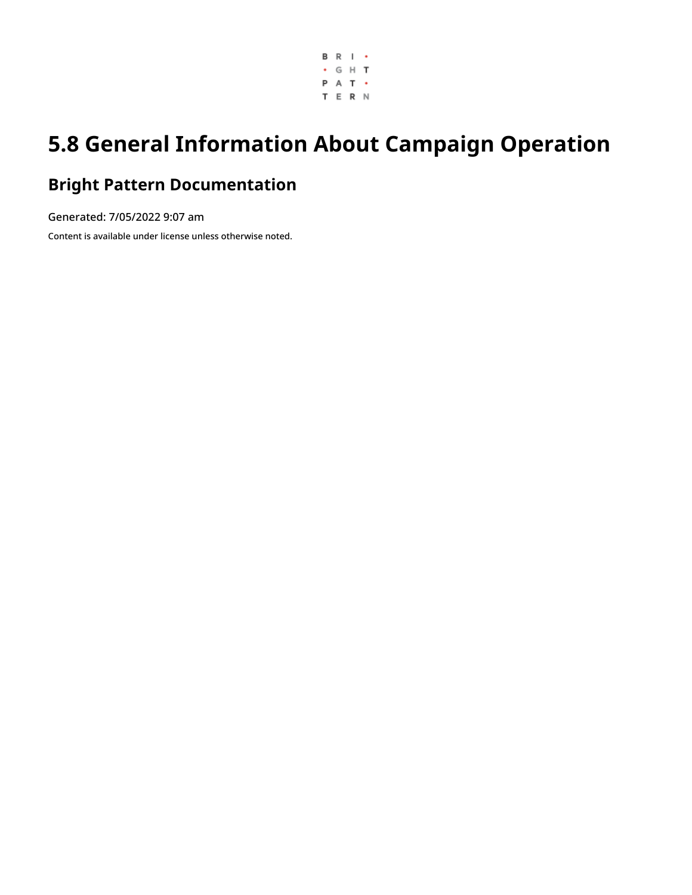

# **5.8 General Information About Campaign Operation**

### **Bright Pattern Documentation**

Generated: 7/05/2022 9:07 am Content is available under license unless otherwise noted.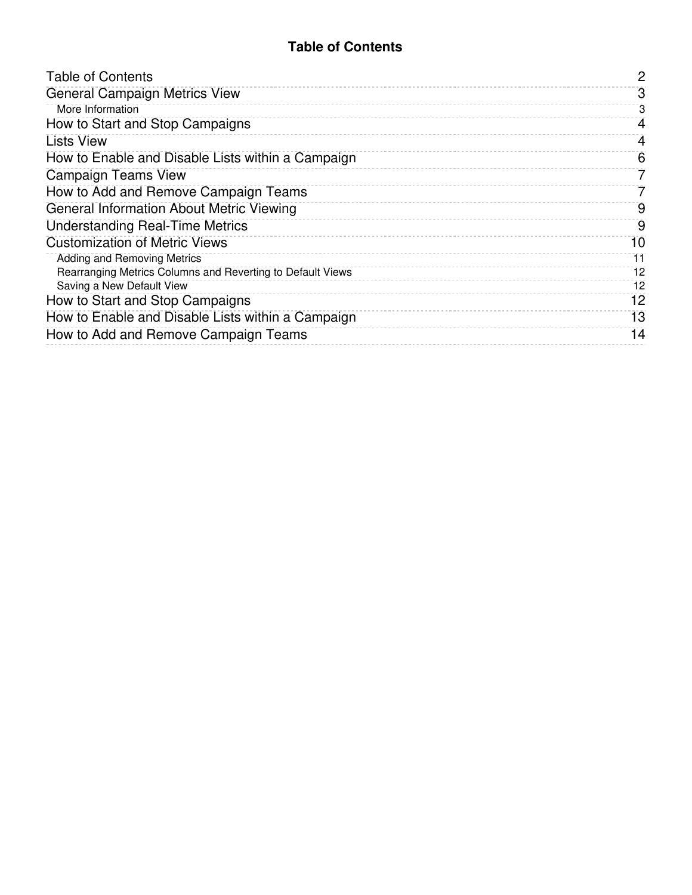### **Table of Contents**

<span id="page-1-0"></span>

| <b>Table of Contents</b>                                   | 2  |
|------------------------------------------------------------|----|
| <b>General Campaign Metrics View</b>                       | 3  |
| More Information                                           | 3  |
| How to Start and Stop Campaigns                            | 4  |
| <b>Lists View</b>                                          | 4  |
| How to Enable and Disable Lists within a Campaign          | 6  |
| Campaign Teams View                                        | 7  |
| How to Add and Remove Campaign Teams                       |    |
| <b>General Information About Metric Viewing</b>            | 9  |
| <b>Understanding Real-Time Metrics</b>                     | 9  |
| <b>Customization of Metric Views</b>                       | 10 |
| Adding and Removing Metrics                                | 11 |
| Rearranging Metrics Columns and Reverting to Default Views | 12 |
| Saving a New Default View                                  | 12 |
| How to Start and Stop Campaigns                            | 12 |
| How to Enable and Disable Lists within a Campaign          | 13 |
| How to Add and Remove Campaign Teams                       | 14 |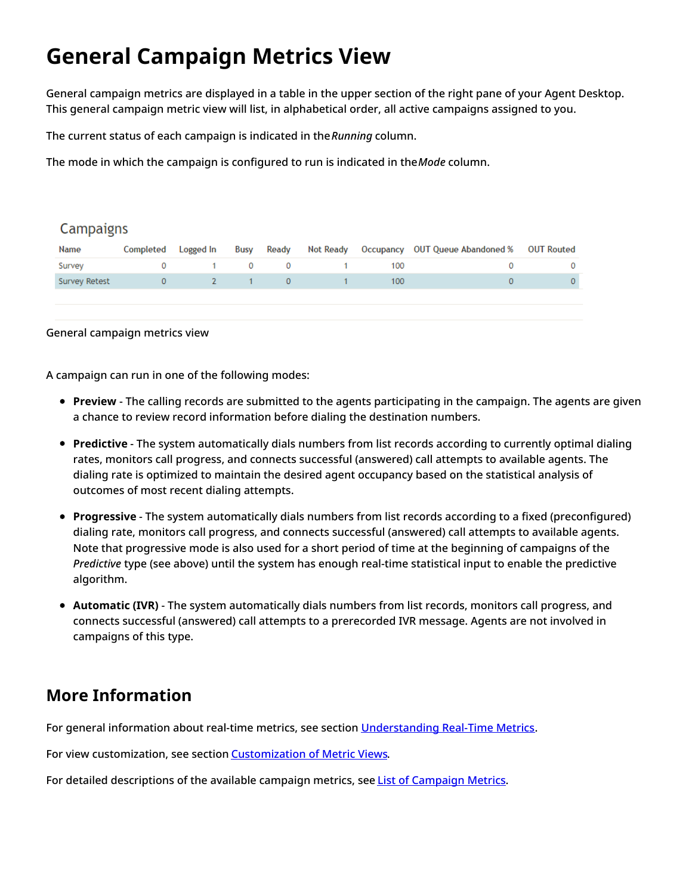# <span id="page-2-0"></span>**General Campaign Metrics View**

General campaign metrics are displayed in a table in the upper section of the right pane of your Agent Desktop. This general campaign metric view will list, in alphabetical order, all active campaigns assigned to you.

The current status of each campaign is indicated in the*Running* column.

The mode in which the campaign is configured to run is indicated in the*Mode* column.

### **Campaigns**

| Name          | Completed | Logged In    | Busy                               | Ready        |              |     | Not Ready Occupancy OUT Queue Abandoned % OUT Routed |              |
|---------------|-----------|--------------|------------------------------------|--------------|--------------|-----|------------------------------------------------------|--------------|
| Survey        |           |              | $1 \quad 0 \quad$                  |              | $\mathbf{0}$ | 100 |                                                      |              |
| Survey Retest | 0         | <sup>2</sup> | and the second state of the second | $\mathbf{0}$ |              | 100 |                                                      | $\mathbf{0}$ |
|               |           |              |                                    |              |              |     |                                                      |              |
|               |           |              |                                    |              |              |     |                                                      |              |

General campaign metrics view

A campaign can run in one of the following modes:

- **Preview** The calling records are submitted to the agents participating in the campaign. The agents are given a chance to review record information before dialing the destination numbers.
- **Predictive** The system automatically dials numbers from list records according to currently optimal dialing rates, monitors call progress, and connects successful (answered) call attempts to available agents. The dialing rate is optimized to maintain the desired agent occupancy based on the statistical analysis of outcomes of most recent dialing attempts.
- **Progressive** The system automatically dials numbers from list records according to a fixed (preconfigured) dialing rate, monitors call progress, and connects successful (answered) call attempts to available agents. Note that progressive mode is also used for a short period of time at the beginning of campaigns of the *Predictive* type (see above) until the system has enough real-time statistical input to enable the predictive algorithm.
- **Automatic (IVR)** The system automatically dials numbers from list records, monitors call progress, and connects successful (answered) call attempts to a prerecorded IVR message. Agents are not involved in campaigns of this type.

### <span id="page-2-1"></span>**More Information**

For general information about real-time metrics, see section [Understanding](https://help.brightpattern.com/5.8:Supervisor-guide/GeneralInformationAboutCampaignOperation/?action=html-localimages-export#topic_supervisor-guide.2Funderstandingreal-timemetrics) Real-Time Metrics.

For view customization, see section [Customization](https://help.brightpattern.com/5.8:Supervisor-guide/GeneralInformationAboutCampaignOperation/?action=html-localimages-export#topic_supervisor-guide.2Fcustomizationofmetricviews) of Metric Views.

For detailed descriptions of the available campaign metrics, see List of [Campaign](https://help.brightpattern.com/5.8:Supervisor-guide/GeneralInformationAboutCampaignOperation/?action=html-localimages-export#topic_supervisor-guide.2Flistofcampaignmetrics) Metrics.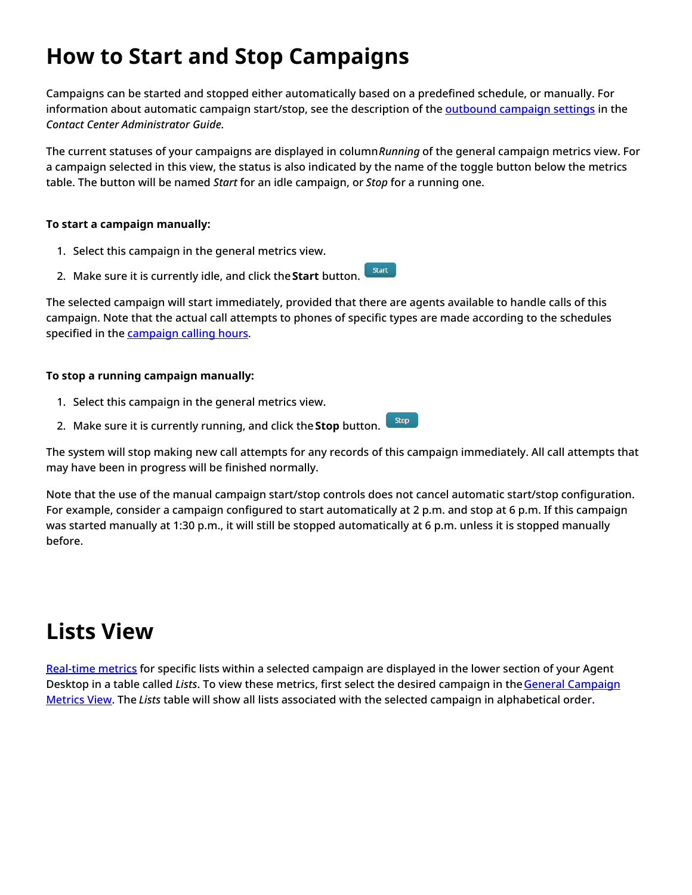# <span id="page-3-0"></span>**How to Start and Stop Campaigns**

Campaigns can be started and stopped either automatically based on a predefined schedule, or manually. For information about automatic campaign start/stop, see the description of the [outbound](https://help.brightpattern.com/5.8:Supervisor-guide/GeneralInformationAboutCampaignOperation/?action=html-localimages-export#topic_contact-center-administrator-guide.2Foutboundtab) campaign settings in the *Contact Center Administrator Guide*.

The current statuses of your campaigns are displayed in column*Running* of the general campaign metrics view. For a campaign selected in this view, the status is also indicated by the name of the toggle button below the metrics table. The button will be named *Start* for an idle campaign, or *Stop* for a running one.

### **To start a campaign manually:**

- 1. Select this campaign in the general metrics view.
- Start 2. Make sure it is currently idle, and click the**Start** button.

The selected campaign will start immediately, provided that there are agents available to handle calls of this campaign. Note that the actual call attempts to phones of specific types are made according to the schedules specified in the [campaign](https://help.brightpattern.com/5.8:Supervisor-guide/GeneralInformationAboutCampaignOperation/?action=html-localimages-export#topic_contact-center-administrator-guide.2Foutboundtab) calling hours.

### **To stop a running campaign manually:**

- 1. Select this campaign in the general metrics view.
- Stop 2. Make sure it is currently running, and click the **Stop** button.

The system will stop making new call attempts for any records of this campaign immediately. All call attempts that may have been in progress will be finished normally.

Note that the use of the manual campaign start/stop controls does not cancel automatic start/stop configuration. For example, consider a campaign configured to start automatically at 2 p.m. and stop at 6 p.m. If this campaign was started manually at 1:30 p.m., it will still be stopped automatically at 6 p.m. unless it is stopped manually before.

## <span id="page-3-1"></span>**Lists View**

[Real-time](https://help.brightpattern.com/5.8:Supervisor-guide/GeneralInformationAboutCampaignOperation/?action=html-localimages-export#topic_reporting-reference-guide.2Finformationaboutmetrics) metrics for specific lists within a selected campaign are displayed in the lower section of your Agent Desktop in a table called *Lists*. To view these metrics, first select the desired campaign in theGeneral Campaign Metrics View. The *Lists* table will show all lists associated with the selected campaign in [alphabetical](https://help.brightpattern.com/5.8:Supervisor-guide/GeneralInformationAboutCampaignOperation/?action=html-localimages-export#topic_supervisor-guide.2Fgeneralcampaignmetricsview) order.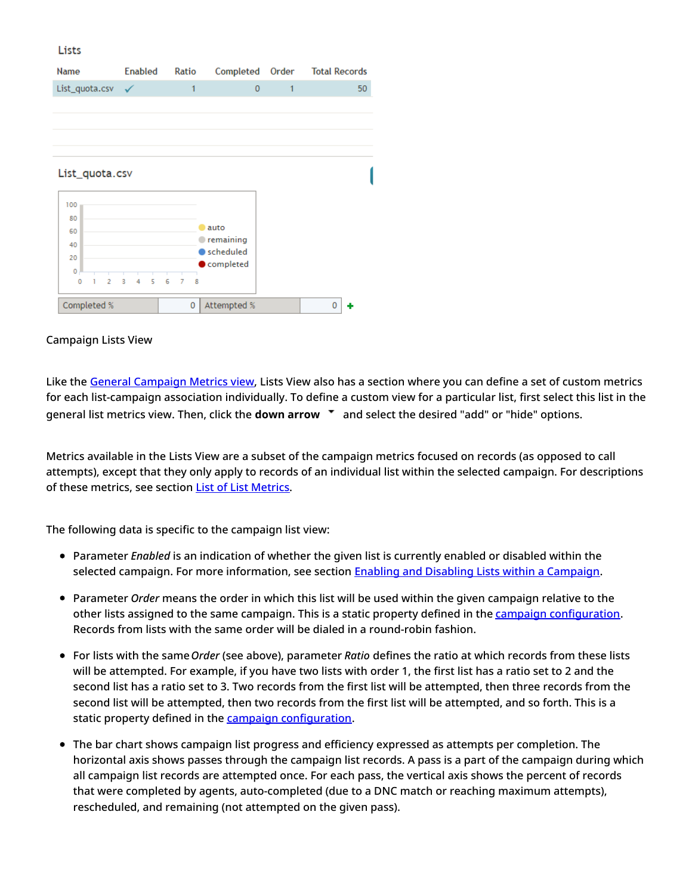#### Lists

| Name                     | Enabled      | Ratio                    | Completed Order        |   | <b>Total Records</b> |
|--------------------------|--------------|--------------------------|------------------------|---|----------------------|
| List_quota.csv           | $\checkmark$ | 1                        | $\mathbf 0$            | 1 | 50                   |
|                          |              |                          |                        |   |                      |
|                          |              |                          |                        |   |                      |
|                          |              |                          |                        |   |                      |
|                          |              |                          |                        |   |                      |
| List_quota.csv           |              |                          |                        |   |                      |
|                          |              |                          |                        |   |                      |
| 100                      |              |                          |                        |   |                      |
| 80<br>60                 |              |                          | auto                   |   |                      |
| 40                       |              |                          | remaining              |   |                      |
| 20                       |              |                          | scheduled<br>completed |   |                      |
| $\overline{0}$           |              |                          |                        |   |                      |
| 0<br>$\overline{2}$<br>ı | 3<br>5<br>4  | 6<br>$\overline{7}$<br>8 |                        |   |                      |
| Completed %              |              | 0                        | Attempted %            |   | 0                    |

#### Campaign Lists View

Like the General [Campaign](https://help.brightpattern.com/5.8:Supervisor-guide/GeneralInformationAboutCampaignOperation/?action=html-localimages-export#topic_supervisor-guide.2Fgeneralcampaignmetricsview) Metrics view, Lists View also has a section where you can define a set of custom metrics for each list-campaign association individually. To define a custom view for a particular list, first select this list in the general list metrics view. Then, click the **down arrow**  $\bullet$  and select the desired "add" or "hide" options.

Metrics available in the Lists View are a subset of the campaign metrics focused on records (as opposed to call attempts), except that they only apply to records of an individual list within the selected campaign. For descriptions of these metrics, see section List of List [Metrics](https://help.brightpattern.com/5.8:Supervisor-guide/GeneralInformationAboutCampaignOperation/?action=html-localimages-export#topic_supervisor-guide.2Flistoflistmetrics).

The following data is specific to the campaign list view:

- Parameter *Enabled* is an indication of whether the given list is currently enabled or disabled within the selected campaign. For more information, see section **Enabling and Disabling Lists within a [Campaign](https://help.brightpattern.com/5.8:Supervisor-guide/GeneralInformationAboutCampaignOperation/?action=html-localimages-export#topic_supervisor-guide.2Fenablinganddisablinglistswithinacampaign)**.
- Parameter *Order* means the order in which this list will be used within the given campaign relative to the other lists assigned to the same campaign. This is a static property defined in the campaign [configuration](https://help.brightpattern.com/5.8:Supervisor-guide/GeneralInformationAboutCampaignOperation/?action=html-localimages-export#topic_contact-center-administrator-guide.2Fliststab). Records from lists with the same order will be dialed in a round-robin fashion.
- For lists with the same*Order* (see above), parameter *Ratio* defines the ratio at which records from these lists will be attempted. For example, if you have two lists with order 1, the first list has a ratio set to 2 and the second list has a ratio set to 3. Two records from the first list will be attempted, then three records from the second list will be attempted, then two records from the first list will be attempted, and so forth. This is a static property defined in the campaign [configuration](https://help.brightpattern.com/5.8:Supervisor-guide/GeneralInformationAboutCampaignOperation/?action=html-localimages-export#topic_contact-center-administrator-guide.2Fliststab).
- The bar chart shows campaign list progress and efficiency expressed as attempts per completion. The horizontal axis shows passes through the campaign list records. A pass is a part of the campaign during which all campaign list records are attempted once. For each pass, the vertical axis shows the percent of records that were completed by agents, auto-completed (due to a DNC match or reaching maximum attempts), rescheduled, and remaining (not attempted on the given pass).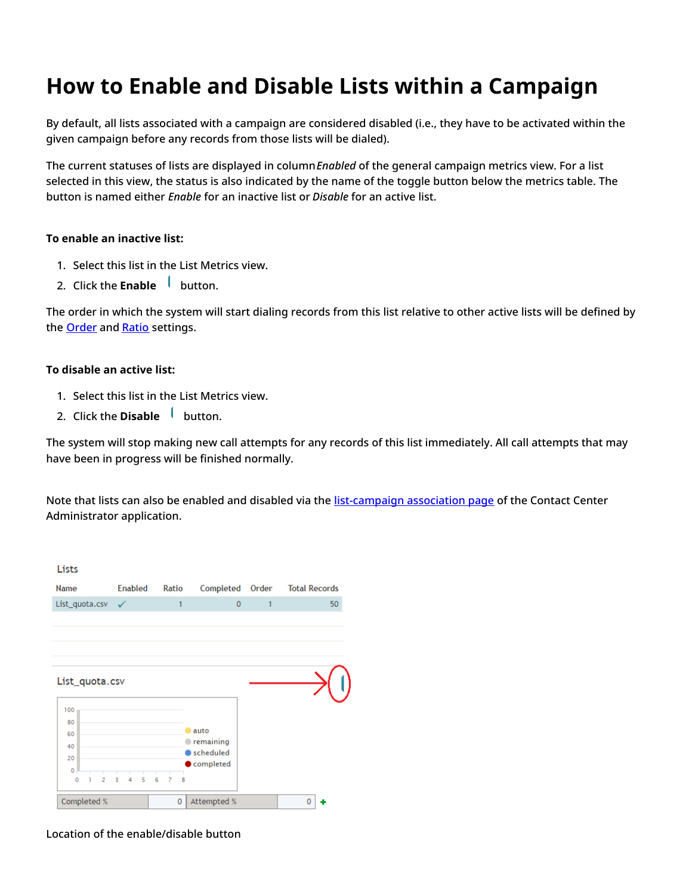## <span id="page-5-0"></span>**How to Enable and Disable Lists within a Campaign**

By default, all lists associated with a campaign are considered disabled (i.e., they have to be activated within the given campaign before any records from those lists will be dialed).

The current statuses of lists are displayed in column*Enabled* of the general campaign metrics view. For a list selected in this view, the status is also indicated by the name of the toggle button below the metrics table. The button is named either *Enable* for an inactive list or *Disable* for an active list.

### **To enable an inactive list:**

- 1. Select this list in the List Metrics view.
- 2. Click the **Enabl[e](https://help.brightpattern.com/File:Campaign-List-Enable-Disable-Button-50.PNG)** button.

The order in which the system will start dialing records from this list relative to other active lists will be defined by the [Order](https://help.brightpattern.com/5.8:Contact-center-administrator-guide/ListsTab#Order) and [Ratio](https://help.brightpattern.com/5.8:Contact-center-administrator-guide/ListsTab#Dialing_ratio) settings.

### **To disable an active list:**

- 1. Select this list in the List Metrics view.
- 2. Click the **Disabl[e](https://help.brightpattern.com/File:Campaign-List-Enable-Disable-Button-50.PNG)** button.

The system will stop making new call attempts for any records of this list immediately. All call attempts that may have been in progress will be finished normally.

Note that lists can also be enabled and disabled via the [list-campaign](https://help.brightpattern.com/5.8:Supervisor-guide/GeneralInformationAboutCampaignOperation/?action=html-localimages-export#topic_contact-center-administrator-guide.2Fliststab) association page of the Contact Center Administrator application.



Location of the enable/disable button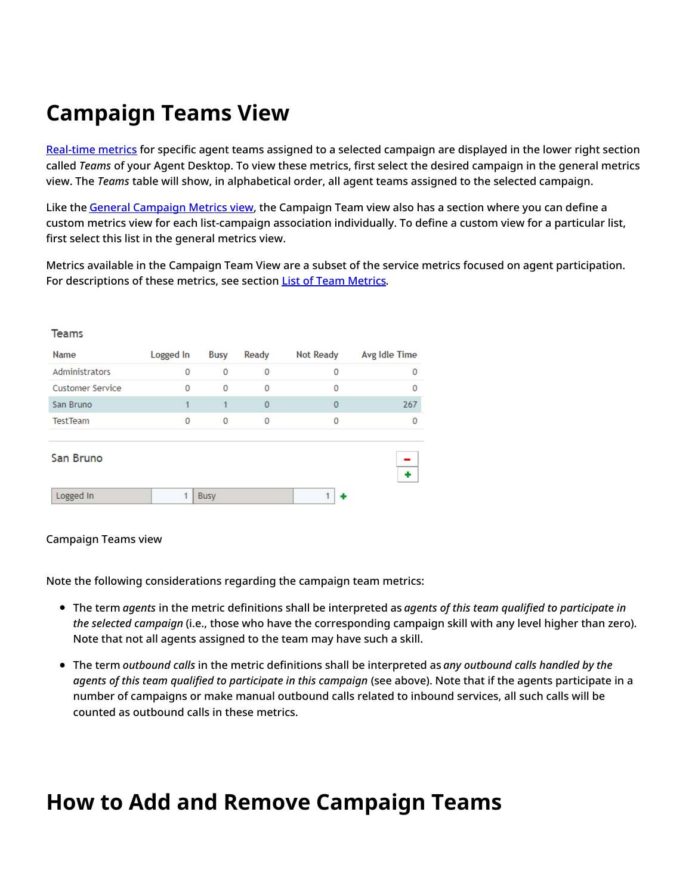# <span id="page-6-0"></span>**Campaign Teams View**

[Real-time](https://help.brightpattern.com/5.8:Supervisor-guide/GeneralInformationAboutCampaignOperation/?action=html-localimages-export#topic_reporting-reference-guide.2Finformationaboutmetrics) metrics for specific agent teams assigned to a selected campaign are displayed in the lower right section called *Teams* of your Agent Desktop. To view these metrics, first select the desired campaign in the general metrics view. The *Teams* table will show, in alphabetical order, all agent teams assigned to the selected campaign.

Like the General [Campaign](https://help.brightpattern.com/5.8:Supervisor-guide/GeneralInformationAboutCampaignOperation/?action=html-localimages-export#topic_supervisor-guide.2Fgeneralcampaignmetricsview) Metrics view, the Campaign Team view also has a section where you can define a custom metrics view for each list-campaign association individually. To define a custom view for a particular list, first select this list in the general metrics view.

Metrics available in the Campaign Team View are a subset of the service metrics focused on agent participation. For descriptions of these metrics, see section List of Team [Metrics](https://help.brightpattern.com/5.8:Supervisor-guide/GeneralInformationAboutCampaignOperation/?action=html-localimages-export#topic_supervisor-guide.2Flistofteammetrics).

| Name                    | Logged In | Busy         | Ready          | <b>Not Ready</b> | Avg Idle Time |
|-------------------------|-----------|--------------|----------------|------------------|---------------|
| <b>Administrators</b>   | 0         | $\mathbf{0}$ | 0              | 0                | 0             |
| <b>Customer Service</b> | 0         | 0            | 0              | 0                | $\mathbf{0}$  |
| San Bruno               | 1         | 1            | $\overline{0}$ | $\mathbf{0}$     | 267           |
| <b>Test Team</b>        | 0         | 0            | $\mathbf 0$    | 0                | 0             |
|                         |           |              |                |                  |               |
| San Bruno               |           |              |                |                  | ۰             |
| Logged In               |           | <b>Busy</b>  |                |                  |               |

### Campaign Teams view

**Teams** 

Note the following considerations regarding the campaign team metrics:

- The term *agents* in the metric definitions shall be interpreted as *agents of this team qualified to participate in the selected campaign* (i.e., those who have the corresponding campaign skill with any level higher than zero). Note that not all agents assigned to the team may have such a skill.
- The term *outbound calls* in the metric definitions shall be interpreted as *any outbound calls handled by the agents of this team qualified to participate in this campaign* (see above). Note that if the agents participate in a number of campaigns or make manual outbound calls related to inbound services, all such calls will be counted as outbound calls in these metrics.

## <span id="page-6-1"></span>**How to Add and Remove Campaign Teams**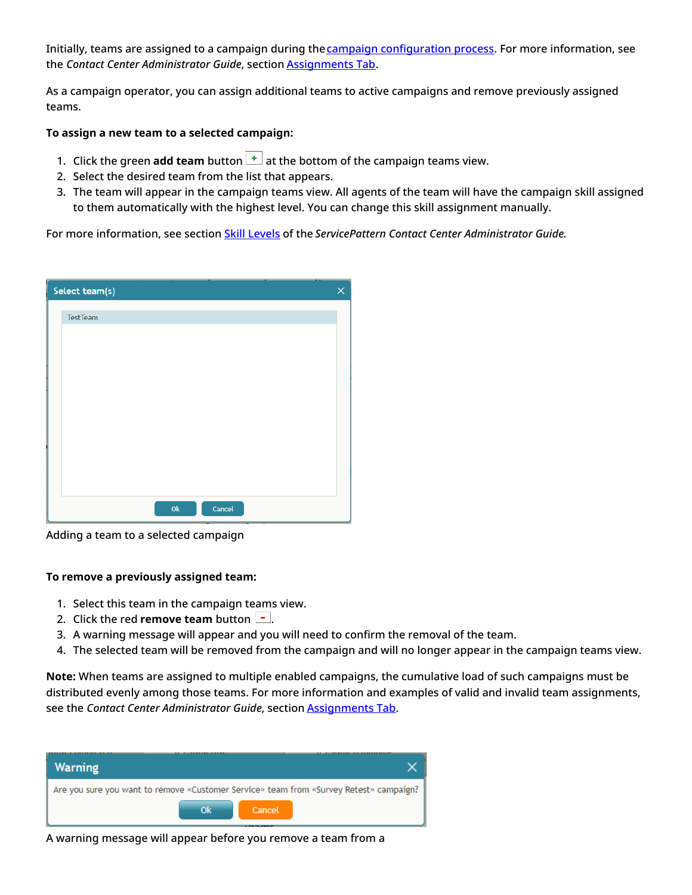Initially, teams are assigned to a campaign during the campaign [configuration](https://help.brightpattern.com/5.8:Supervisor-guide/GeneralInformationAboutCampaignOperation/?action=html-localimages-export#topic_contact-center-administrator-guide.2Foutboundcampaignconfiguration) process. For more information, see the *Contact Center Administrator Guide*, section [Assignments](https://help.brightpattern.com/5.8:Supervisor-guide/GeneralInformationAboutCampaignOperation/?action=html-localimages-export#topic_contact-center-administrator-guide.2Fassignmentstab) Tab.

As a campaign operator, you can assign additional teams to active campaigns and remove previously assigned teams.

### **To assign a new team to a selected campaign:**

- 1. Click the green **add team** button  $\begin{bmatrix} + \end{bmatrix}$  at the bottom of the campaign teams view.
- 2. Select the desired team from the list that appears.
- 3. The team will appear in the campaign teams view. All agents of the team will have the campaign skill assigned to them automatically with the highest level. You can change this skill assignment manually.

For more information, see section Skill [Levels](https://help.brightpattern.com/5.8:Supervisor-guide/GeneralInformationAboutCampaignOperation/?action=html-localimages-export#topic_contact-center-administrator-guide.2Fskilllevels) of the *ServicePattern Contact Center Administrator Guide*.

| Select team(s)          | $\times$ |
|-------------------------|----------|
| TestTeam                |          |
|                         |          |
|                         |          |
|                         |          |
|                         |          |
|                         |          |
|                         |          |
|                         |          |
|                         |          |
| Cancel<br>$\mathsf{Ok}$ |          |

Adding a team to a selected campaign

#### **To remove a previously assigned team:**

- 1. Select this team in the campaign teams view.
- 2. Click the red **remove team** button  $\boxed{-}$ .
- 3. A warning message will appear and you will need to confirm the removal of the team.
- 4. The selected team will be removed from the campaign and will no longer appear in the campaign teams view.

**Note:** When teams are assigned to multiple enabled campaigns, the cumulative load of such campaigns must be distributed evenly among those teams. For more information and examples of valid and invalid team assignments, see the *Contact Center Administrator Guide*, section [Assignments](https://help.brightpattern.com/5.8:Supervisor-guide/GeneralInformationAboutCampaignOperation/?action=html-localimages-export#topic_contact-center-administrator-guide.2Fassignmentstab) Tab.

| Warning                                                                                |        |
|----------------------------------------------------------------------------------------|--------|
| Are you sure you want to remove «Customer Service» team from «Survey Retest» campaign? |        |
| Ok                                                                                     | Cancel |
|                                                                                        | .      |

A warning message will appear before you remove a team from a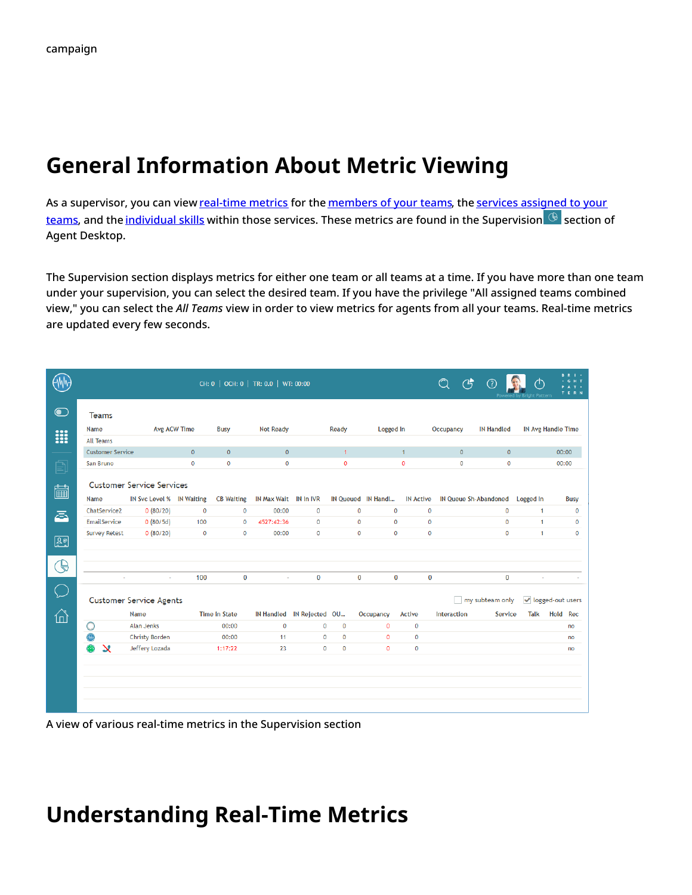## <span id="page-8-0"></span>**General Information About Metric Viewing**

As a supervisor, you can view [real-time](https://help.brightpattern.com/5.8:Supervisor-guide/GeneralInformationAboutCampaignOperation/?action=html-localimages-export#topic_reporting-reference-guide.2Finformationaboutmetrics) metrics for the [members](https://help.brightpattern.com/5.8:Supervisor-guide/GeneralInformationAboutCampaignOperation/?action=html-localimages-export#topic_supervisor-guide.2Fagentmetricsview) of your teams, the services assigned to your teams, and the [individual](https://help.brightpattern.com/5.8:Supervisor-guide/GeneralInformationAboutCampaignOperation/?action=html-localimages-export#topic_supervisor-guide.2Fskillmetricsview) skills within those services. These metrics are found in the [Supervision](https://help.brightpattern.com/5.8:Supervisor-guide/GeneralInformationAboutCampaignOperation/?action=html-localimages-export#topic_supervisor-guide.2Fservicemetricsview) **G** section of Agent Desktop.

The Supervision section displays metrics for either one team or all teams at a time. If you have more than one team under your supervision, you can select the desired team. If you have the privilege "All assigned teams combined view," you can select the *All Teams* view in order to view metrics for agents from all your teams. Real-time metrics are updated every few seconds.

|                |                         |                                  |                     |                      | CH: 0   OCH: 0   TR: 0.0   WT: 00:00 |              |              |              |                    |                  | $\mathbb{Q}$<br>$\mathfrak{G}$ |                              |              | <b>B R</b>                |
|----------------|-------------------------|----------------------------------|---------------------|----------------------|--------------------------------------|--------------|--------------|--------------|--------------------|------------------|--------------------------------|------------------------------|--------------|---------------------------|
| $\bullet$      | <b>Teams</b>            |                                  |                     |                      |                                      |              |              |              |                    |                  |                                |                              |              |                           |
| <b>!!!</b>     | Name                    |                                  | <b>Avg ACW Time</b> | <b>Busy</b>          | <b>Not Ready</b>                     |              | Ready        |              | Logged In          |                  | Occupancy                      | <b>IN Handled</b>            |              | <b>IN Avg Handle Time</b> |
|                | All Teams               |                                  |                     |                      |                                      |              |              |              |                    |                  |                                |                              |              |                           |
|                | <b>Customer Service</b> |                                  | $\Omega$            | $\mathbf{0}$         | $\mathbf{0}$                         |              | $\mathbf{1}$ |              |                    | $\mathbf{1}$     | $\mathbf{0}$                   | $\mathbf{0}$                 |              | 00:00                     |
| 囙              | San Bruno               |                                  | $\mathbf{O}$        | $\mathbf{O}$         | $\mathbf{0}$                         |              | $\mathbf{0}$ |              |                    | $\mathbf{0}$     | $\mathbf{O}$                   | $\mathbf{0}$                 |              | 00:00                     |
| ■              |                         | <b>Customer Service Services</b> |                     |                      |                                      |              |              |              |                    |                  |                                |                              |              |                           |
|                | Name                    | IN Svc Level % IN Waiting        |                     | <b>CB Waiting</b>    | IN Max Wait IN In IVR                |              |              |              | IN Queued IN Handl | <b>IN Active</b> |                                | <b>IN Queue Sh-Abandoned</b> | Logged In    | <b>Busy</b>               |
| ā              | ChatService2            | 0(80/20)                         | $\mathbf{0}$        | $\mathbf 0$          | 00:00                                | $\mathbf{0}$ |              | $\mathbf 0$  | $\mathbf{0}$       | $\mathbf{0}$     |                                | $\mathbf 0$                  | $\mathbf{1}$ | $\mathbf{0}$              |
|                | EmailService            | 0(80/5d)                         | 100                 | $\mathbf 0$          | 4527:42:36                           | $\mathbf 0$  |              | $\mathbf{0}$ | $\mathbf 0$        | $\mathbf 0$      |                                | $\mathbf 0$                  | $\mathbf{1}$ | 0                         |
| 2 <sup>°</sup> | <b>Survey Retest</b>    | 0(80/20)                         | $\mathbf{0}$        | $\mathbf{0}$         | 00:00                                | $\mathbf{0}$ |              | $\mathbf{0}$ | $\mathbf{0}$       | $\mathbf{0}$     |                                | $\mathbf 0$                  | $\mathbf{1}$ | $\mathbf 0$               |
|                |                         |                                  |                     |                      |                                      |              |              |              |                    |                  |                                |                              |              |                           |
| (€             |                         |                                  |                     |                      |                                      |              |              |              |                    |                  |                                |                              |              |                           |
|                |                         |                                  | 100                 | $\bf{0}$             |                                      | $\mathbf{0}$ |              | $\mathbf{0}$ | $\mathbf{0}$       | $\bf{0}$         |                                | $\bf{0}$                     |              |                           |
|                |                         | <b>Customer Service Agents</b>   |                     |                      |                                      |              |              |              |                    |                  |                                | my subteam only              |              | ↓ logged-out users        |
| 6              |                         | Name                             |                     | <b>Time in State</b> | IN Handled IN Rejected OU            |              |              |              | Occupancy          | Active           | Interaction                    | Service                      | Talk         | Hold Rec                  |
|                | a                       | Alan Jenks                       |                     | 00:00                | $\mathbf{0}$                         | $\mathbf{0}$ | $\mathbf{0}$ |              | $\mathbf{0}$       | $\mathbf{0}$     |                                |                              |              | no                        |
|                |                         | Christy Borden                   |                     | 00:00                | 11                                   | $\mathbf 0$  | $\mathbf 0$  |              | $\mathbf{0}$       | $\mathbf 0$      |                                |                              |              | no                        |
|                | x                       | Jeffery Lozada                   |                     | 1:17:22              | 23                                   | $\mathbf 0$  | $\mathbf 0$  |              | $\mathbf{0}$       | $\mathbf{0}$     |                                |                              |              | no                        |
|                |                         |                                  |                     |                      |                                      |              |              |              |                    |                  |                                |                              |              |                           |
|                |                         |                                  |                     |                      |                                      |              |              |              |                    |                  |                                |                              |              |                           |
|                |                         |                                  |                     |                      |                                      |              |              |              |                    |                  |                                |                              |              |                           |
|                |                         |                                  |                     |                      |                                      |              |              |              |                    |                  |                                |                              |              |                           |
|                |                         |                                  |                     |                      |                                      |              |              |              |                    |                  |                                |                              |              |                           |

A view of various real-time metrics in the Supervision section

### <span id="page-8-1"></span>**Understanding Real-Time Metrics**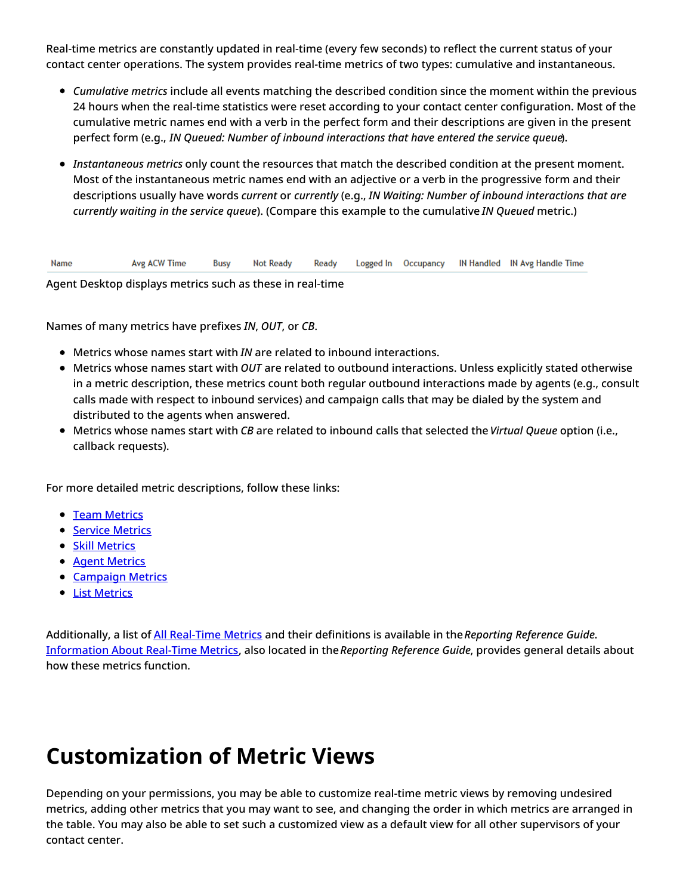Real-time metrics are constantly updated in real-time (every few seconds) to reflect the current status of your contact center operations. The system provides real-time metrics of two types: cumulative and instantaneous.

- *Cumulative metrics* include all events matching the described condition since the moment within the previous 24 hours when the real-time statistics were reset according to your contact center configuration. Most of the cumulative metric names end with a verb in the perfect form and their descriptions are given in the present perfect form (e.g., *IN Queued: Number of inbound interactions that have entered the service queue*).
- *Instantaneous metrics* only count the resources that match the described condition at the present moment. Most of the instantaneous metric names end with an adjective or a verb in the progressive form and their descriptions usually have words *current* or *currently* (e.g., *IN Waiting: Number of inbound interactions that are currently waiting in the service queue*). (Compare this example to the cumulative *IN Queued* metric.)

Name Avg ACW Time **Busy Not Ready** Ready Logged In Occupancy IN Handled IN Avg Handle Time

Agent Desktop displays metrics such as these in real-time

Names of many metrics have prefixes *IN*, *OUT*, or *CB*.

- Metrics whose names start with *IN* are related to inbound interactions.
- Metrics whose names start with *OUT* are related to outbound interactions. Unless explicitly stated otherwise in a metric description, these metrics count both regular outbound interactions made by agents (e.g., consult calls made with respect to inbound services) and campaign calls that may be dialed by the system and distributed to the agents when answered.
- Metrics whose names start with *CB* are related to inbound calls that selected the *Virtual Queue* option (i.e., callback requests).

For more detailed metric descriptions, follow these links:

- Team [Metrics](https://help.brightpattern.com/5.8:Supervisor-guide/GeneralInformationAboutCampaignOperation/?action=html-localimages-export#topic_supervisor-guide.2Flistofteammetrics)
- **Service [Metrics](https://help.brightpattern.com/5.8:Supervisor-guide/GeneralInformationAboutCampaignOperation/?action=html-localimages-export#topic_supervisor-guide.2Flistofservicemetrics)**
- **Skill [Metrics](https://help.brightpattern.com/5.8:Supervisor-guide/GeneralInformationAboutCampaignOperation/?action=html-localimages-export#topic_supervisor-guide.2Flistofskillmetrics)**
- Agent [Metrics](https://help.brightpattern.com/5.8:Supervisor-guide/GeneralInformationAboutCampaignOperation/?action=html-localimages-export#topic_supervisor-guide.2Flistofagentmetrics)
- **[Campaign](https://help.brightpattern.com/5.8:Supervisor-guide/GeneralInformationAboutCampaignOperation/?action=html-localimages-export#topic_supervisor-guide.2Flistofcampaignmetrics) Metrics**
- **List [Metrics](https://help.brightpattern.com/5.8:Supervisor-guide/GeneralInformationAboutCampaignOperation/?action=html-localimages-export#topic_supervisor-guide.2Flistoflistmetrics)**

Additionally, a list of All [Real-Time](https://help.brightpattern.com/5.8:Reporting-reference-guide/AllMetrics#Wallboard_Metrics) Metrics and their definitions is available in the*Reporting Reference Guide*. [Information](https://help.brightpattern.com/5.8:Supervisor-guide/GeneralInformationAboutCampaignOperation/?action=html-localimages-export#topic_reporting-reference-guide.2Finformationaboutmetrics) About Real-Time Metrics, also located in the*Reporting Reference Guide*, provides general details about how these metrics function.

## <span id="page-9-0"></span>**Customization of Metric Views**

Depending on your permissions, you may be able to customize real-time metric views by removing undesired metrics, adding other metrics that you may want to see, and changing the order in which metrics are arranged in the table. You may also be able to set such a customized view as a default view for all other supervisors of your contact center.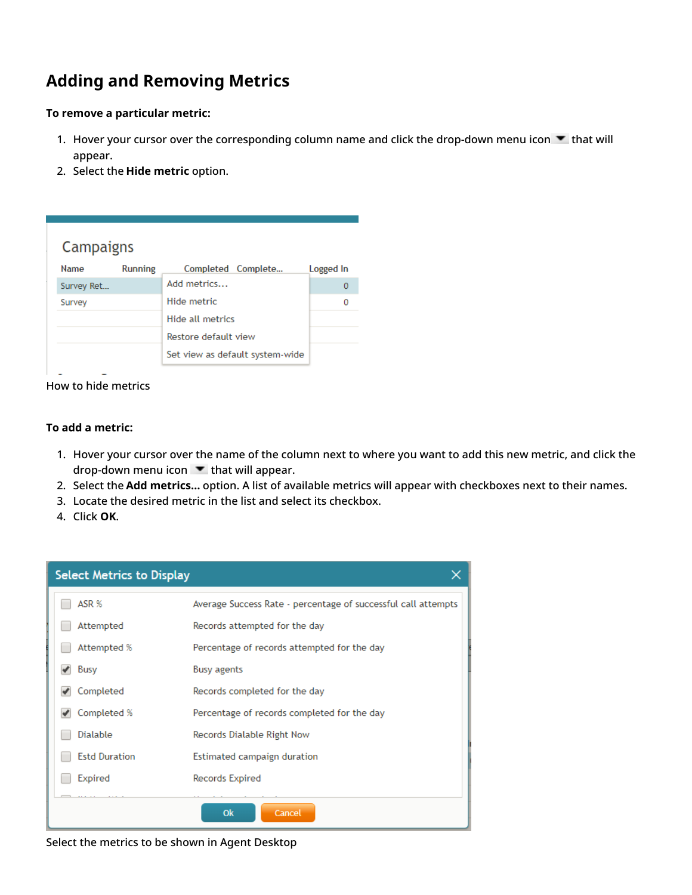### <span id="page-10-0"></span>**Adding and Removing Metrics**

#### **To remove a particular metric:**

- 1. Hover your cursor over the corresponding column name and click the drop-down menu icon  $\blacktriangledown$  that will appear.
- 2. Select the **Hide metric** option.

| Campaigns   |                |                                 |           |
|-------------|----------------|---------------------------------|-----------|
| <b>Name</b> | <b>Running</b> | Completed Complete              | Logged In |
| Survey Ret  |                | Add metrics                     | Ω         |
| Survey      |                | Hide metric                     |           |
|             |                | Hide all metrics                |           |
|             |                | Restore default view            |           |
|             |                | Set view as default system-wide |           |

### How to hide metrics

### **To add a metric:**

- 1. Hover your cursor over the name of the column next to where you want to add this new metric, and click the drop-down menu icon  $\bullet$  that will appear.
- 2. Select the **Add metrics…** option. A list of available metrics will appear with checkboxes next to their names.
- 3. Locate the desired metric in the list and select its checkbox.
- 4. Click **OK**.



Select the metrics to be shown in Agent Desktop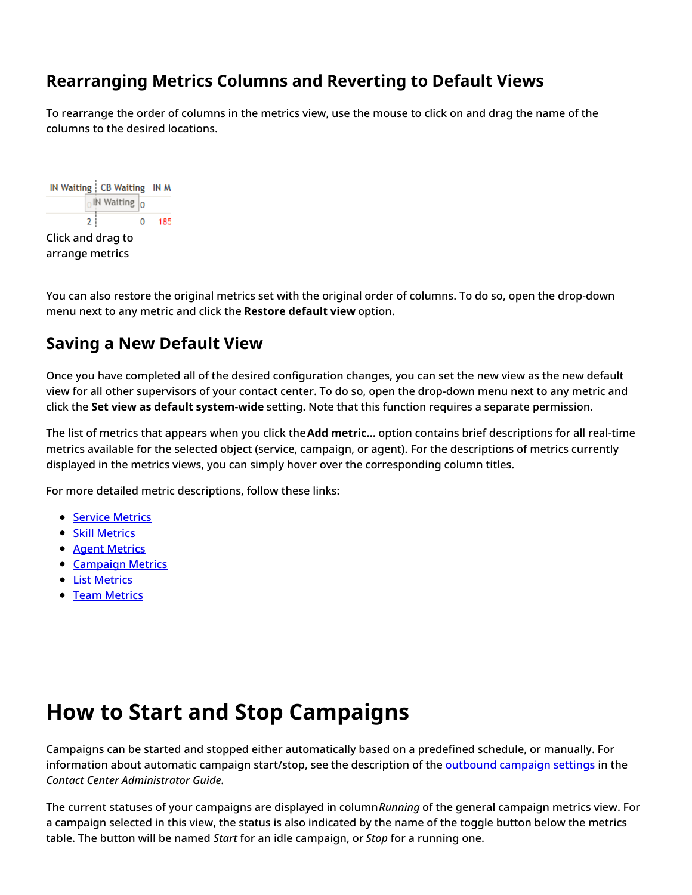### <span id="page-11-0"></span>**Rearranging Metrics Columns and Reverting to Default Views**

To rearrange the order of columns in the metrics view, use the mouse to click on and drag the name of the columns to the desired locations.



You can also restore the original metrics set with the original order of columns. To do so, open the drop-down menu next to any metric and click the **Restore default view** option.

### <span id="page-11-1"></span>**Saving a New Default View**

Once you have completed all of the desired configuration changes, you can set the new view as the new default view for all other supervisors of your contact center. To do so, open the drop-down menu next to any metric and click the **Set view as default system-wide** setting. Note that this function requires a separate permission.

The list of metrics that appears when you click the**Add metric…** option contains brief descriptions for all real-time metrics available for the selected object (service, campaign, or agent). For the descriptions of metrics currently displayed in the metrics views, you can simply hover over the corresponding column titles.

For more detailed metric descriptions, follow these links:

- **Service [Metrics](https://help.brightpattern.com/5.8:Supervisor-guide/GeneralInformationAboutCampaignOperation/?action=html-localimages-export#topic_supervisor-guide.2Flistofservicemetrics)**
- Skill [Metrics](https://help.brightpattern.com/5.8:Supervisor-guide/GeneralInformationAboutCampaignOperation/?action=html-localimages-export#topic_supervisor-guide.2Flistofskillmetrics)
- **Agent [Metrics](https://help.brightpattern.com/5.8:Supervisor-guide/GeneralInformationAboutCampaignOperation/?action=html-localimages-export#topic_supervisor-guide.2Flistofagentmetrics)**
- **[Campaign](https://help.brightpattern.com/5.8:Supervisor-guide/GeneralInformationAboutCampaignOperation/?action=html-localimages-export#topic_supervisor-guide.2Flistofcampaignmetrics) Metrics**
- **List [Metrics](https://help.brightpattern.com/5.8:Supervisor-guide/GeneralInformationAboutCampaignOperation/?action=html-localimages-export#topic_supervisor-guide.2Flistoflistmetrics)**
- Team [Metrics](https://help.brightpattern.com/5.8:Supervisor-guide/GeneralInformationAboutCampaignOperation/?action=html-localimages-export#topic_supervisor-guide.2Flistofteammetrics)

## <span id="page-11-2"></span>**How to Start and Stop Campaigns**

Campaigns can be started and stopped either automatically based on a predefined schedule, or manually. For information about automatic campaign start/stop, see the description of the [outbound](https://help.brightpattern.com/5.8:Supervisor-guide/GeneralInformationAboutCampaignOperation/?action=html-localimages-export#topic_contact-center-administrator-guide.2Foutboundtab) campaign settings in the *Contact Center Administrator Guide*.

The current statuses of your campaigns are displayed in column*Running* of the general campaign metrics view. For a campaign selected in this view, the status is also indicated by the name of the toggle button below the metrics table. The button will be named *Start* for an idle campaign, or *Stop* for a running one.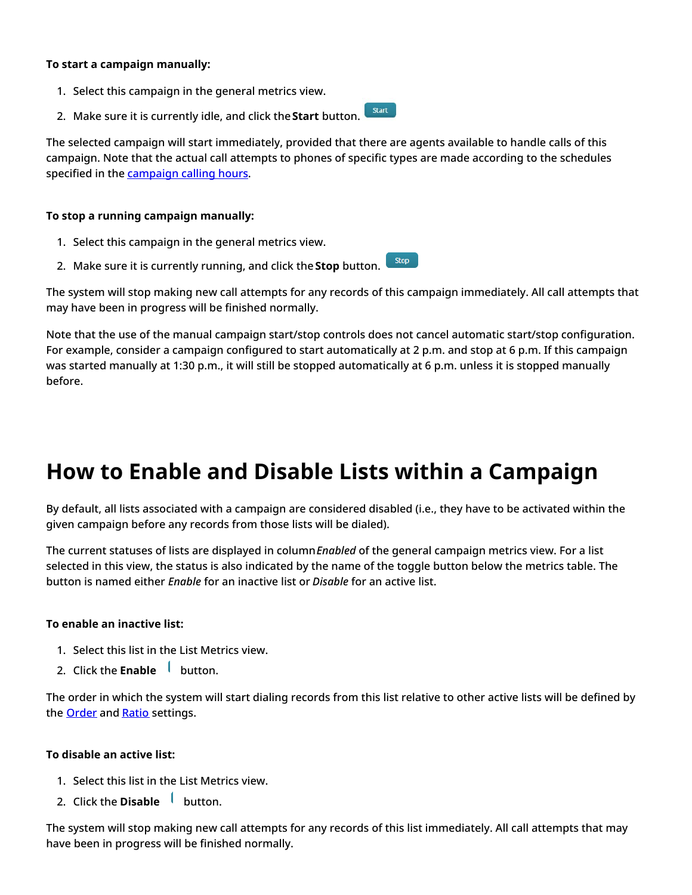### **To start a campaign manually:**

- 1. Select this campaign in the general metrics view.
- 2. Make sure it is currently idle, and click the**Start** button.

The selected campaign will start immediately, provided that there are agents available to handle calls of this campaign. Note that the actual call attempts to phones of specific types are made according to the schedules specified in the **[campaign](https://help.brightpattern.com/5.8:Supervisor-guide/GeneralInformationAboutCampaignOperation/?action=html-localimages-export#topic_contact-center-administrator-guide.2Foutboundtab) calling hours**.

### **To stop a running campaign manually:**

- 1. Select this campaign in the general metrics view.
- Stop 2. Make sure it is currently running, and click the **Stop** button.

The system will stop making new call attempts for any records of this campaign immediately. All call attempts that may have been in progress will be finished normally.

Note that the use of the manual campaign start/stop controls does not cancel automatic start/stop configuration. For example, consider a campaign configured to start automatically at 2 p.m. and stop at 6 p.m. If this campaign was started manually at 1:30 p.m., it will still be stopped automatically at 6 p.m. unless it is stopped manually before.

## <span id="page-12-0"></span>**How to Enable and Disable Lists within a Campaign**

By default, all lists associated with a campaign are considered disabled (i.e., they have to be activated within the given campaign before any records from those lists will be dialed).

The current statuses of lists are displayed in column*Enabled* of the general campaign metrics view. For a list selected in this view, the status is also indicated by the name of the toggle button below the metrics table. The button is named either *Enable* for an inactive list or *Disable* for an active list.

#### **To enable an inactive list:**

- 1. Select this list in the List Metrics view.
- 2. Click th[e](https://help.brightpattern.com/File:Campaign-List-Enable-Disable-Button-50.PNG) **Enable** button.

The order in which the system will start dialing records from this list relative to other active lists will be defined by the **[Order](https://help.brightpattern.com/5.8:Contact-center-administrator-guide/ListsTab#Order)** and **[Ratio](https://help.brightpattern.com/5.8:Contact-center-administrator-guide/ListsTab#Dialing_ratio)** settings.

#### **To disable an active list:**

- 1. Select this list in the List Metrics view.
- 2. Click the **Disabl[e](https://help.brightpattern.com/File:Campaign-List-Enable-Disable-Button-50.PNG)** button.

The system will stop making new call attempts for any records of this list immediately. All call attempts that may have been in progress will be finished normally.

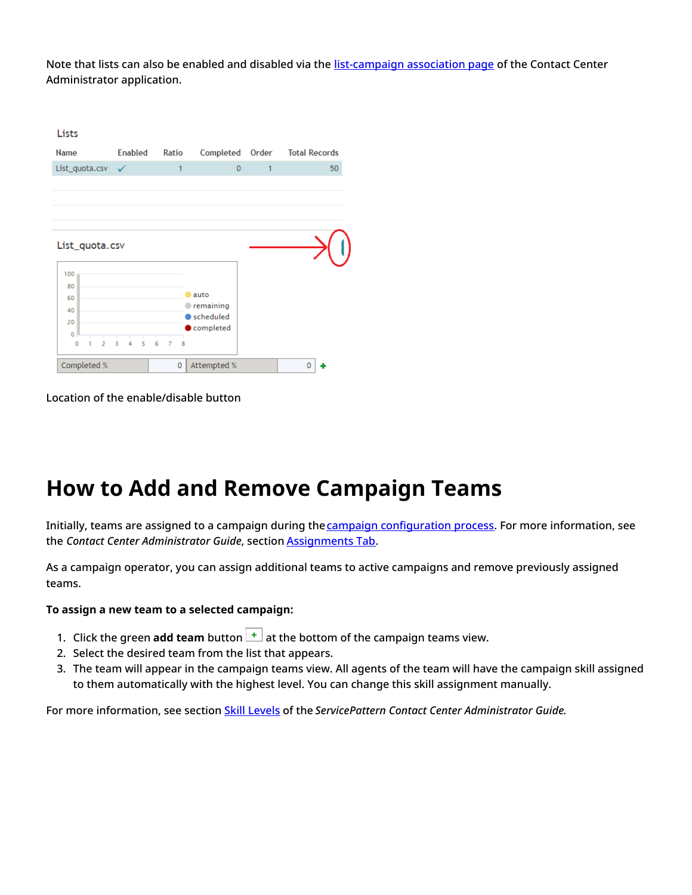Note that lists can also be enabled and disabled via the [list-campaign](https://help.brightpattern.com/5.8:Supervisor-guide/GeneralInformationAboutCampaignOperation/?action=html-localimages-export#topic_contact-center-administrator-guide.2Fliststab) association page of the Contact Center Administrator application.

| Lists                                      |                |                          |                |       |                      |
|--------------------------------------------|----------------|--------------------------|----------------|-------|----------------------|
| <b>Name</b>                                | <b>Enabled</b> | Ratio                    | Completed      | Order | <b>Total Records</b> |
| List_quota.csv                             |                | 1                        | $\overline{0}$ | 1     | 50                   |
|                                            |                |                          |                |       |                      |
|                                            |                |                          |                |       |                      |
|                                            |                |                          |                |       |                      |
|                                            |                |                          |                |       |                      |
| List_quota.csv                             |                |                          |                |       |                      |
|                                            |                |                          |                |       |                      |
| 100<br>80                                  |                |                          |                |       |                      |
| 60                                         |                |                          | auto           |       |                      |
| 40                                         |                |                          | remaining      |       |                      |
| 20                                         |                |                          | scheduled      |       |                      |
| $\bf{0}$                                   |                |                          | completed      |       |                      |
| $\overline{2}$<br>$\ddot{\mathbf{0}}$<br>ı | 5<br>3<br>4    | 6<br>$\overline{7}$<br>8 |                |       |                      |
| Completed %                                |                | $\mathbf{0}$             | Attempted %    |       | 0                    |

Location of the enable/disable button

### <span id="page-13-0"></span>**How to Add and Remove Campaign Teams**

Initially, teams are assigned to a campaign during the campaign [configuration](https://help.brightpattern.com/5.8:Supervisor-guide/GeneralInformationAboutCampaignOperation/?action=html-localimages-export#topic_contact-center-administrator-guide.2Foutboundcampaignconfiguration) process. For more information, see the *Contact Center Administrator Guide*, section [Assignments](https://help.brightpattern.com/5.8:Supervisor-guide/GeneralInformationAboutCampaignOperation/?action=html-localimages-export#topic_contact-center-administrator-guide.2Fassignmentstab) Tab.

As a campaign operator, you can assign additional teams to active campaigns and remove previously assigned teams.

### **To assign a new team to a selected campaign:**

- 1. Click the green **add team** button  $\begin{bmatrix} \pm \end{bmatrix}$  at the bottom of the campaign teams view.
- 2. Select the desired team from the list that appears.
- 3. The team will appear in the campaign teams view. All agents of the team will have the campaign skill assigned to them automatically with the highest level. You can change this skill assignment manually.

For more information, see section Skill [Levels](https://help.brightpattern.com/5.8:Supervisor-guide/GeneralInformationAboutCampaignOperation/?action=html-localimages-export#topic_contact-center-administrator-guide.2Fskilllevels) of the *ServicePattern Contact Center Administrator Guide*.